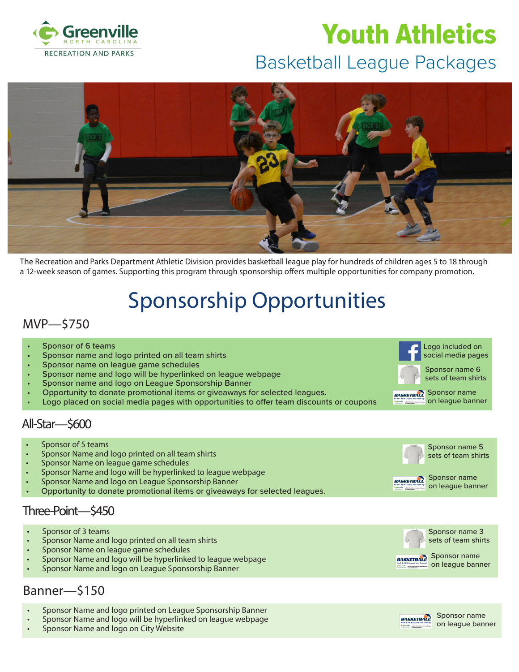

# Basketball League Packages Youth Athletics



The Recreation and Parks Department Athletic Division provides basketball league play for hundreds of children ages 5 to 18 through a 12-week season of games. Supporting this program through sponsorship offers multiple opportunities for company promotion.

## Sponsorship Opportunities

#### MVP—\$750

- Sponsor of 6 teams
- Sponsor name and logo printed on all team shirts
- Sponsor name on league game schedules
- Sponsor name and logo will be hyperlinked on league webpage
- Sponsor name and logo on League Sponsorship Banner
- Opportunity to donate promotional items or giveaways for selected leagues.
- Logo placed on social media pages with opportunities to offer team discounts or coupons

#### All-Star—\$600

- Sponsor of 5 teams
- Sponsor Name and logo printed on all team shirts
- Sponsor Name on league game schedules
- Sponsor Name and logo will be hyperlinked to league webpage
- Sponsor Name and logo on League Sponsorship Banner
- Opportunity to donate promotional items or giveaways for selected leagues.

#### Three-Point—\$450

- Sponsor of 3 teams
- Sponsor Name and logo printed on all team shirts
- Sponsor Name on league game schedules
- Sponsor Name and logo will be hyperlinked to league webpage
- Sponsor Name and logo on League Sponsorship Banner

#### Banner—\$150

- Sponsor Name and logo printed on League Sponsorship Banner
- Sponsor Name and logo will be hyperlinked on league webpage
- Sponsor Name and logo on City Website







**BASKETBALL** 

Sponsor name 6 sets of team shirts

**BASKETBALT** Sponsor name on league banner



Sponsor name on league banner

Sponsor name 5 sets of team shirts

Sponsor name **BASKETBALL** on league banner



Sponsor name on league banner